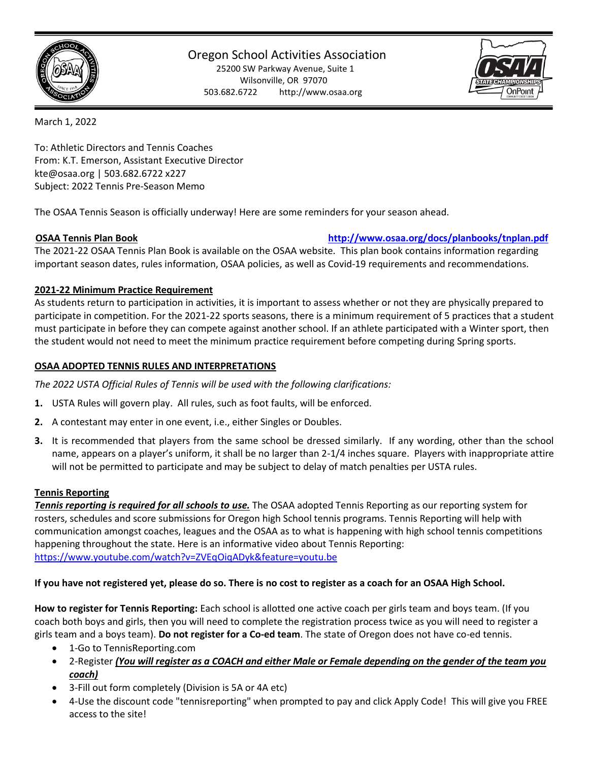

# Oregon School Activities Association

25200 SW Parkway Avenue, Suite 1 Wilsonville, OR 97070 503.682.6722 http://www.osaa.org



March 1, 2022

To: Athletic Directors and Tennis Coaches From: K.T. Emerson, Assistant Executive Director kte@osaa.org | 503.682.6722 x227 Subject: 2022 Tennis Pre-Season Memo

The OSAA Tennis Season is officially underway! Here are some reminders for your season ahead.

### **OSAA Tennis Plan Book <http://www.osaa.org/docs/planbooks/tnplan.pdf>**

The 2021-22 OSAA Tennis Plan Book is available on the OSAA website. This plan book contains information regarding important season dates, rules information, OSAA policies, as well as Covid-19 requirements and recommendations.

### **2021-22 Minimum Practice Requirement**

As students return to participation in activities, it is important to assess whether or not they are physically prepared to participate in competition. For the 2021-22 sports seasons, there is a minimum requirement of 5 practices that a student must participate in before they can compete against another school. If an athlete participated with a Winter sport, then the student would not need to meet the minimum practice requirement before competing during Spring sports.

### **OSAA ADOPTED TENNIS RULES AND INTERPRETATIONS**

*The 2022 USTA Official Rules of Tennis will be used with the following clarifications:*

- **1.** USTA Rules will govern play. All rules, such as foot faults, will be enforced.
- **2.** A contestant may enter in one event, i.e., either Singles or Doubles.
- **3.** It is recommended that players from the same school be dressed similarly. If any wording, other than the school name, appears on a player's uniform, it shall be no larger than 2-1/4 inches square. Players with inappropriate attire will not be permitted to participate and may be subject to delay of match penalties per USTA rules.

#### **Tennis Reporting**

*Tennis reporting is required for all schools to use.* The OSAA adopted Tennis Reporting as our reporting system for rosters, schedules and score submissions for Oregon high School tennis programs. Tennis Reporting will help with communication amongst coaches, leagues and the OSAA as to what is happening with high school tennis competitions happening throughout the state. Here is an informative video about Tennis Reporting: <https://www.youtube.com/watch?v=ZVEqOiqADyk&feature=youtu.be>

# **If you have not registered yet, please do so. There is no cost to register as a coach for an OSAA High School.**

**How to register for Tennis Reporting:** Each school is allotted one active coach per girls team and boys team. (If you coach both boys and girls, then you will need to complete the registration process twice as you will need to register a girls team and a boys team). **Do not register for a Co-ed team**. The state of Oregon does not have co-ed tennis.

- 1-Go to TennisReporting.com
- 2-Register *(You will register as a COACH and either Male or Female depending on the gender of the team you coach)*
- 3-Fill out form completely (Division is 5A or 4A etc)
- 4-Use the discount code "tennisreporting" when prompted to pay and click Apply Code! This will give you FREE access to the site!